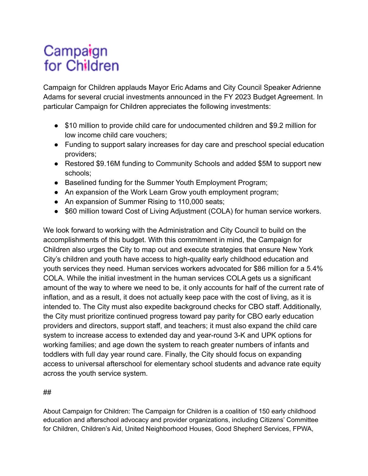## Campaign for Children

Campaign for Children applauds Mayor Eric Adams and City Council Speaker Adrienne Adams for several crucial investments announced in the FY 2023 Budget Agreement. In particular Campaign for Children appreciates the following investments:

- \$10 million to provide child care for undocumented children and \$9.2 million for low income child care vouchers;
- Funding to support salary increases for day care and preschool special education providers;
- Restored \$9.16M funding to Community Schools and added \$5M to support new schools;
- Baselined funding for the Summer Youth Employment Program;
- An expansion of the Work Learn Grow youth employment program;
- An expansion of Summer Rising to 110,000 seats;
- \$60 million toward Cost of Living Adjustment (COLA) for human service workers.

We look forward to working with the Administration and City Council to build on the accomplishments of this budget. With this commitment in mind, the Campaign for Children also urges the City to map out and execute strategies that ensure New York City's children and youth have access to high-quality early childhood education and youth services they need. Human services workers advocated for \$86 million for a 5.4% COLA. While the initial investment in the human services COLA gets us a significant amount of the way to where we need to be, it only accounts for half of the current rate of inflation, and as a result, it does not actually keep pace with the cost of living, as it is intended to. The City must also expedite background checks for CBO staff. Additionally, the City must prioritize continued progress toward pay parity for CBO early education providers and directors, support staff, and teachers; it must also expand the child care system to increase access to extended day and year-round 3-K and UPK options for working families; and age down the system to reach greater numbers of infants and toddlers with full day year round care. Finally, the City should focus on expanding access to universal afterschool for elementary school students and advance rate equity across the youth service system.

## ##

About Campaign for Children: The Campaign for Children is a coalition of 150 early childhood education and afterschool advocacy and provider organizations, including Citizens' Committee for Children, Children's Aid, United Neighborhood Houses, Good Shepherd Services, FPWA,